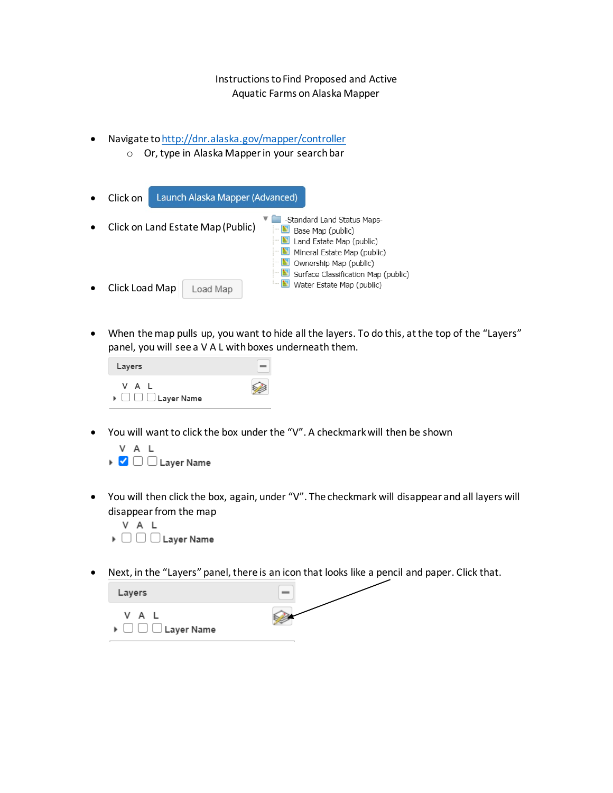## Instructions to Find Proposed and Active Aquatic Farms on Alaska Mapper

- Navigate t[o http://dnr.alaska.gov/mapper/controller](http://dnr.alaska.gov/mapper/controller)
	- o Or, type in Alaska Mapper in your search bar



• When the map pulls up, you want to hide all the layers. To do this, at the top of the "Layers" panel, you will see a V A L with boxes underneath them.



• You will want to click the box under the "V". A checkmark will then be shown



• You will then click the box, again, under "V". The checkmark will disappear and all layers will disappear from the map



• Next, in the "Layers" panel, there is an icon that looks like a pencil and paper. Click that.